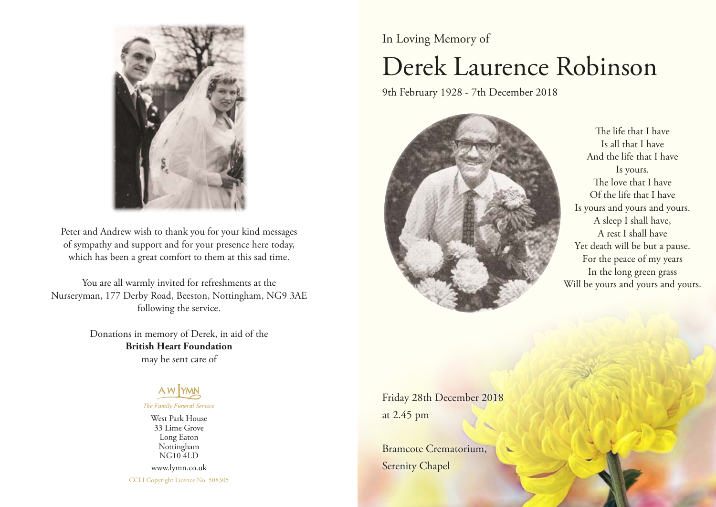

Peter and Andrew wish to thank you for your kind messages of sympathy and support and for your presence here today, which has been a great comfort to them at this sad time.

You are all warmly invited for refreshments at the Nurseryman, 177 Derby Road, Beeston, Nottingham, NG9 3AE following the service.

> Donations in memory of Derek, in aid of the **British Heart Foundation** may be sent care of

# A.W. YM

#### The Family Funeral Service

West Park House 33 Lime Grove Long Eaton Nottingham NG10 4LD www.lymn.co.uk CCLI Copyright Licence No. 508305

# In Loving Memory of Derek Laurence Robinson

9th February 1928 - 7th December 2018



The life that I have Is all that I have And the life that I have Is yours. The love that I have Of the life that I have Is yours and yours and yours. A sleep I shall have, A rest I shall have Yet death will be but a pause. For the peace of my years In the long green grass Will be yours and yours and yours.

Friday 28th December 2018 at 2.45 pm

Bramcote Crematorium, Serenity Chapel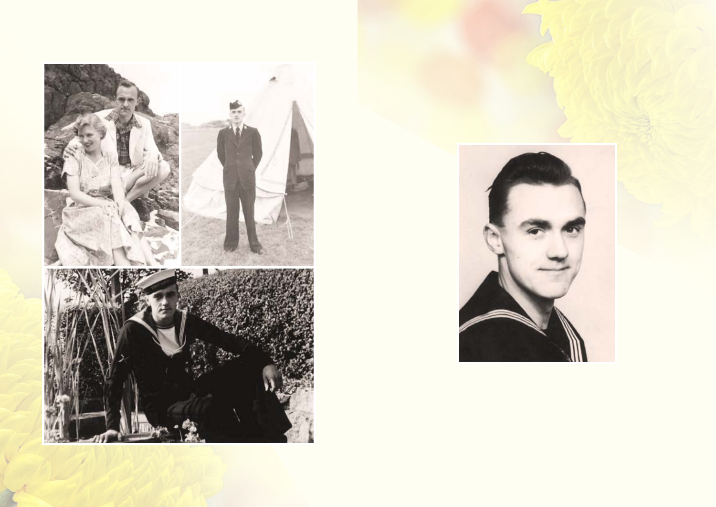

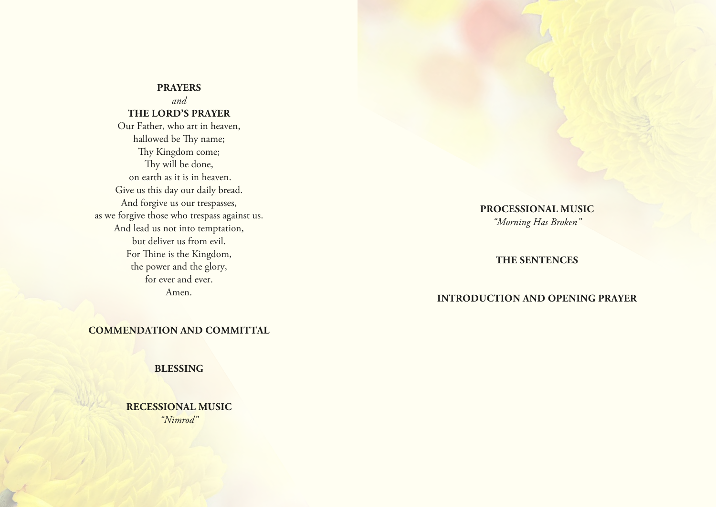## **PRAYERS**  *and* **THE LORD'S PRAYER**  Our Father, who art in heaven, hallowed be Thy name; Thy Kingdom come; Thy will be done, on earth as it is in heaven. Give us this day our daily bread. And forgive us our trespasses, as we forgive those who trespass against us. And lead us not into temptation, but deliver us from evil. For Thine is the Kingdom, the power and the glory, for ever and ever. Amen.

### **PROCESSIONAL MUSIC**

*"Morning Has Broken"*

#### **THE SENTENCES**

#### **INTRODUCTION AND OPENING PRAYER**

#### **COMMENDATION AND COMMITTAL**

#### **BLESSING**

### **RECESSIONAL MUSIC** *"Nimrod"*